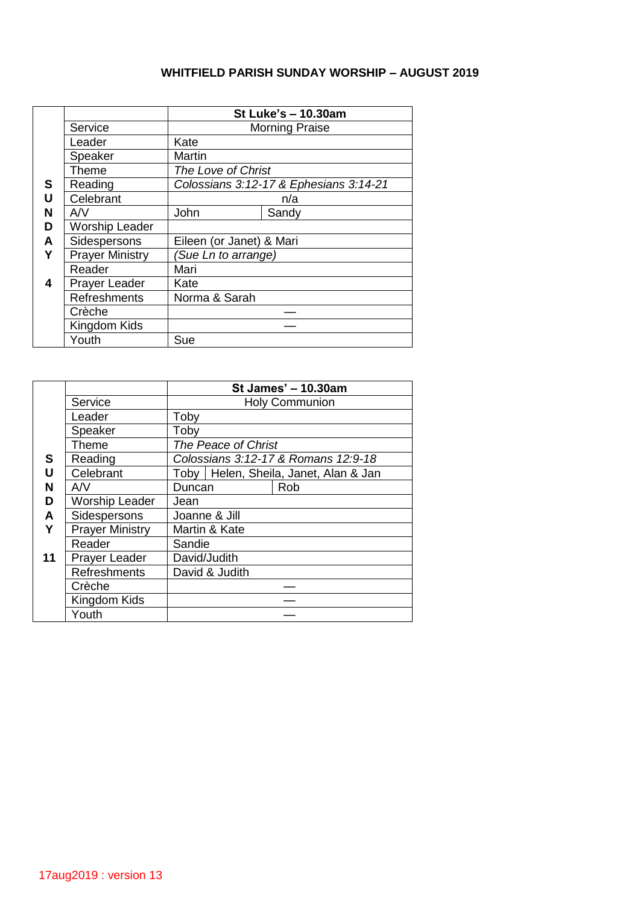## **WHITFIELD PARISH SUNDAY WORSHIP – AUGUST 2019**

|   |                        | St Luke's - 10.30am                                  |       |  |  |  |
|---|------------------------|------------------------------------------------------|-------|--|--|--|
|   | Service                | <b>Morning Praise</b>                                |       |  |  |  |
|   | Leader                 | Kate                                                 |       |  |  |  |
|   | Speaker                | <b>Martin</b>                                        |       |  |  |  |
|   | Theme                  | The Love of Christ                                   |       |  |  |  |
| S | Reading                | Colossians 3:12-17 & Ephesians 3:14-21               |       |  |  |  |
| U | Celebrant              | n/a                                                  |       |  |  |  |
| N | A/V                    | John                                                 | Sandy |  |  |  |
| D | <b>Worship Leader</b>  |                                                      |       |  |  |  |
| A | Sidespersons           | Eileen (or Janet) & Mari                             |       |  |  |  |
| Υ | <b>Prayer Ministry</b> | (Sue Ln to arrange)<br>Mari<br>Kate<br>Norma & Sarah |       |  |  |  |
|   | Reader                 |                                                      |       |  |  |  |
| 4 | <b>Prayer Leader</b>   |                                                      |       |  |  |  |
|   | Refreshments           |                                                      |       |  |  |  |
|   | Crèche                 |                                                      |       |  |  |  |
|   | Kingdom Kids           |                                                      |       |  |  |  |
|   | Youth                  | Sue                                                  |       |  |  |  |

|    |                        | St James' - 10.30am                 |  |                                         |  |
|----|------------------------|-------------------------------------|--|-----------------------------------------|--|
|    | Service                | <b>Holy Communion</b>               |  |                                         |  |
|    | Leader                 | Toby                                |  |                                         |  |
|    | Speaker                | Toby                                |  |                                         |  |
|    | Theme                  | The Peace of Christ                 |  |                                         |  |
| S  | Reading                | Colossians 3:12-17 & Romans 12:9-18 |  |                                         |  |
| U  | Celebrant              |                                     |  | Toby   Helen, Sheila, Janet, Alan & Jan |  |
| N  | AVV                    | Duncan                              |  | Rob                                     |  |
| D  | <b>Worship Leader</b>  | Jean                                |  |                                         |  |
| A  | Sidespersons           | Joanne & Jill<br>Martin & Kate      |  |                                         |  |
| Υ  | <b>Prayer Ministry</b> |                                     |  |                                         |  |
|    | Reader                 | Sandie                              |  |                                         |  |
| 11 | Prayer Leader          | David/Judith                        |  |                                         |  |
|    | Refreshments           | David & Judith                      |  |                                         |  |
|    | Crèche                 |                                     |  |                                         |  |
|    | Kingdom Kids           |                                     |  |                                         |  |
|    | Youth                  |                                     |  |                                         |  |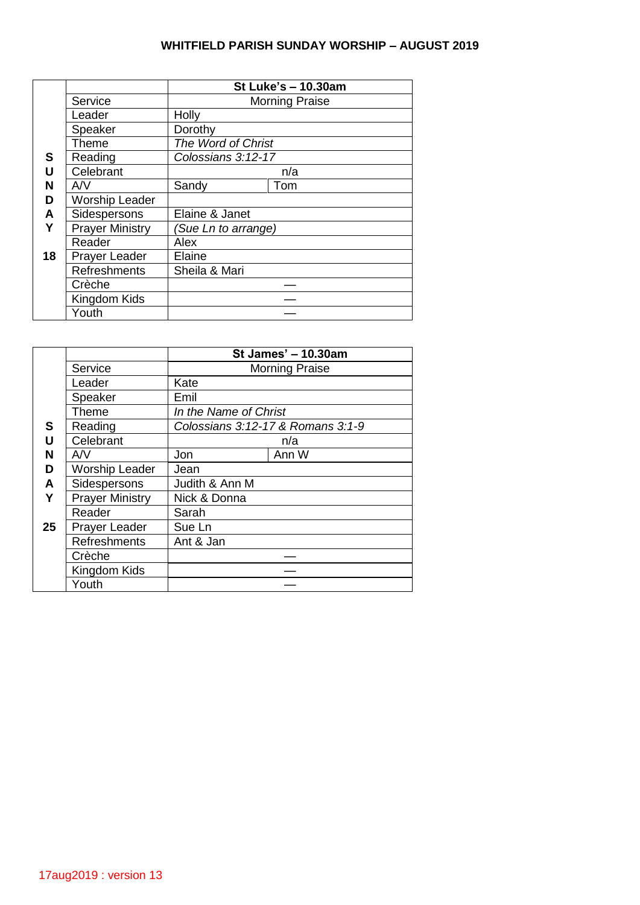## **WHITFIELD PARISH SUNDAY WORSHIP – AUGUST 2019**

|    |                        | St Luke's - 10.30am                   |     |  |  |
|----|------------------------|---------------------------------------|-----|--|--|
|    | Service                | <b>Morning Praise</b>                 |     |  |  |
|    | Leader                 | Holly                                 |     |  |  |
|    | Speaker                | Dorothy                               |     |  |  |
|    | Theme                  | The Word of Christ                    |     |  |  |
| S  | Reading                | Colossians 3:12-17<br>n/a             |     |  |  |
| U  | Celebrant              |                                       |     |  |  |
| N  | AV                     | Sandy                                 | Tom |  |  |
| D  | <b>Worship Leader</b>  | Elaine & Janet<br>(Sue Ln to arrange) |     |  |  |
| A  | Sidespersons           |                                       |     |  |  |
| Y  | <b>Prayer Ministry</b> |                                       |     |  |  |
|    | Reader                 | Alex                                  |     |  |  |
| 18 | Prayer Leader          | Elaine<br>Sheila & Mari               |     |  |  |
|    | <b>Refreshments</b>    |                                       |     |  |  |
|    | Crèche                 |                                       |     |  |  |
|    | Kingdom Kids           |                                       |     |  |  |
|    | Youth                  |                                       |     |  |  |

|    |                        | St James' - 10.30am               |       |  |  |
|----|------------------------|-----------------------------------|-------|--|--|
|    | Service                | <b>Morning Praise</b>             |       |  |  |
|    | Leader                 | Kate                              |       |  |  |
|    | Speaker                | Emil                              |       |  |  |
|    | <b>Theme</b>           | In the Name of Christ             |       |  |  |
| S  | Reading                | Colossians 3:12-17 & Romans 3:1-9 |       |  |  |
| U  | Celebrant              | n/a                               |       |  |  |
| N  | A/V                    | Jon                               | Ann W |  |  |
| D  | <b>Worship Leader</b>  | Jean                              |       |  |  |
| A  | Sidespersons           | Judith & Ann M<br>Nick & Donna    |       |  |  |
| Y  | <b>Prayer Ministry</b> |                                   |       |  |  |
|    | Reader                 | Sarah                             |       |  |  |
| 25 | <b>Prayer Leader</b>   | Sue Ln                            |       |  |  |
|    | Refreshments           | Ant & Jan                         |       |  |  |
|    | Crèche                 |                                   |       |  |  |
|    | Kingdom Kids           |                                   |       |  |  |
|    | Youth                  |                                   |       |  |  |